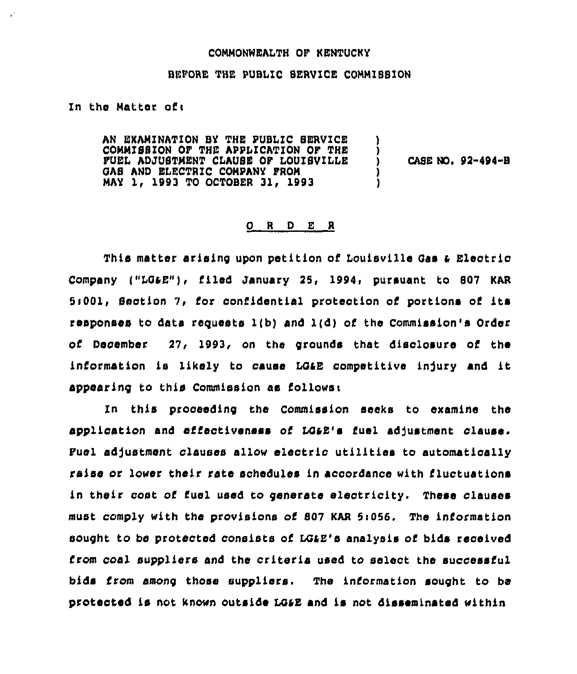## COMMONWEALTH OF KENTUCKY

## BFPORE THE PUBLIC SERVICE COMMISSION

In the Matter oft

£.

AN EXAMINATION BY THE PUBLIC SERVICE COMMISSION OF THE APPLICATION OF THE FUEL ADJUBTMENT CLAUSE OF LOUISVILLE Y GAS AND ELECTRIC COMPANY FROM MAY 1, 1993 TO OCTOBER 31, 1993

CASE NO. 92-494-B

## 0 <sup>R</sup> <sup>D</sup> E <sup>R</sup>

This matter arising upon petition of Louisville Gas & Electric Company ("I048")» filed January 25, 1994, pursuant to 807 KAR  $5:001$ , Section 7, for confidential protection of portions of its responses to data requests 1(b) and l(d) of the Commission's Order of December 27, 1993, on the grounds that disclosure of the information is likely to cause LG&E competitive injury and it appearing to this Commission as follower

In this proceeding the Commission seeks to examine the application and effectiveness of LG&E's fuel adjustment clause. Fuel adjustment clauses allow electric utilities to automatically raise or lower their rate schedules in accordance with fluctuations in their cost of fuel used to generate electricity. These clauses must comply with the provisions of 807 KAR 5i056. The information sought to be protected consists of LQ48'e analysis of bids received from coal suppliers and the criteria used to select the successful bids from among those suppliers. The information sought to be protected is not known outside L048 and is not disseminated within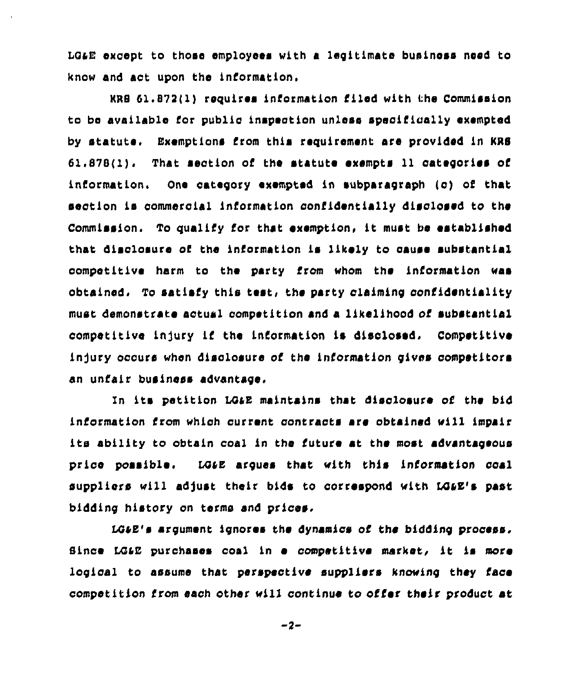LG&E except to those employees with a legitimate business need to know and act upon the information.

KRB 61.872(1) requires information filed with the Commission to be available for public inspection unless speciflca11y exempted by statute, Exemptions from this requirement are provided ln KRS 61.878(1). That seotlon of the statute exempts 11 categories of information. One category exempted in subparagraph (o) of that section is commercial information confidentially disclosed to the Commission. To qualify for that exemption, lt must be established that disclosure of the information is likely to cause substantial competitive harm to the party from whom the information «as obtained, To satisfy this test, the party claiming confidentiality must demonstrate actual competition and a likelihood of substantial competitive injury if the information is disclosed. Competitive injury occurs when disclosure of the information gives competitors an unfair business advantage,

1n lt» petition LOGE maintains that disclosure of the bid information from which current contracts are obtained vill impair its ability to obtain coal in the future at the most advantageous price possibles . LOGE argues that with this information coal suppliers wi11 adjust their bids to correspond with LQGE's past bidding history on terms and prices.

LQIE's argument ignores the dynamics of Che bidding process. Since LG&E purchases coal in a competitive market, it is more logical to assume that perspective suppliers knowing they face competition from each other will continue to offer their product at

 $-2-$